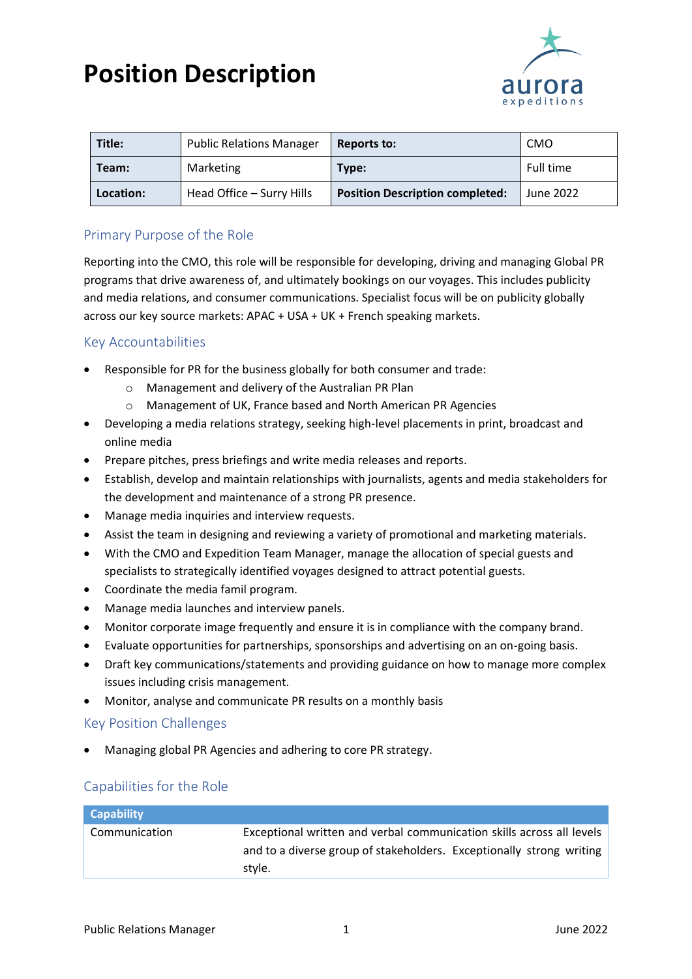# **Position Description**



| Title:    | <b>Public Relations Manager</b> | Reports to:                            | <b>CMO</b> |
|-----------|---------------------------------|----------------------------------------|------------|
| Team:     | Marketing                       | Type:                                  | Full time  |
| Location: | Head Office - Surry Hills       | <b>Position Description completed:</b> | June 2022  |

## Primary Purpose of the Role

Reporting into the CMO, this role will be responsible for developing, driving and managing Global PR programs that drive awareness of, and ultimately bookings on our voyages. This includes publicity and media relations, and consumer communications. Specialist focus will be on publicity globally across our key source markets: APAC + USA + UK + French speaking markets.

### Key Accountabilities

- Responsible for PR for the business globally for both consumer and trade:
	- o Management and delivery of the Australian PR Plan
	- o Management of UK, France based and North American PR Agencies
- Developing a media relations strategy, seeking high-level placements in print, broadcast and online media
- Prepare pitches, press briefings and write media releases and reports.
- Establish, develop and maintain relationships with journalists, agents and media stakeholders for the development and maintenance of a strong PR presence.
- Manage media inquiries and interview requests.
- Assist the team in designing and reviewing a variety of promotional and marketing materials.
- With the CMO and Expedition Team Manager, manage the allocation of special guests and specialists to strategically identified voyages designed to attract potential guests.
- Coordinate the media famil program.
- Manage media launches and interview panels.
- Monitor corporate image frequently and ensure it is in compliance with the company brand.
- Evaluate opportunities for partnerships, sponsorships and advertising on an on-going basis.
- Draft key communications/statements and providing guidance on how to manage more complex issues including crisis management.
- Monitor, analyse and communicate PR results on a monthly basis

### Key Position Challenges

• Managing global PR Agencies and adhering to core PR strategy.

### Capabilities for the Role

| <b>Capability</b> |                                                                       |  |
|-------------------|-----------------------------------------------------------------------|--|
| Communication     | Exceptional written and verbal communication skills across all levels |  |
|                   | and to a diverse group of stakeholders. Exceptionally strong writing  |  |
|                   | style.                                                                |  |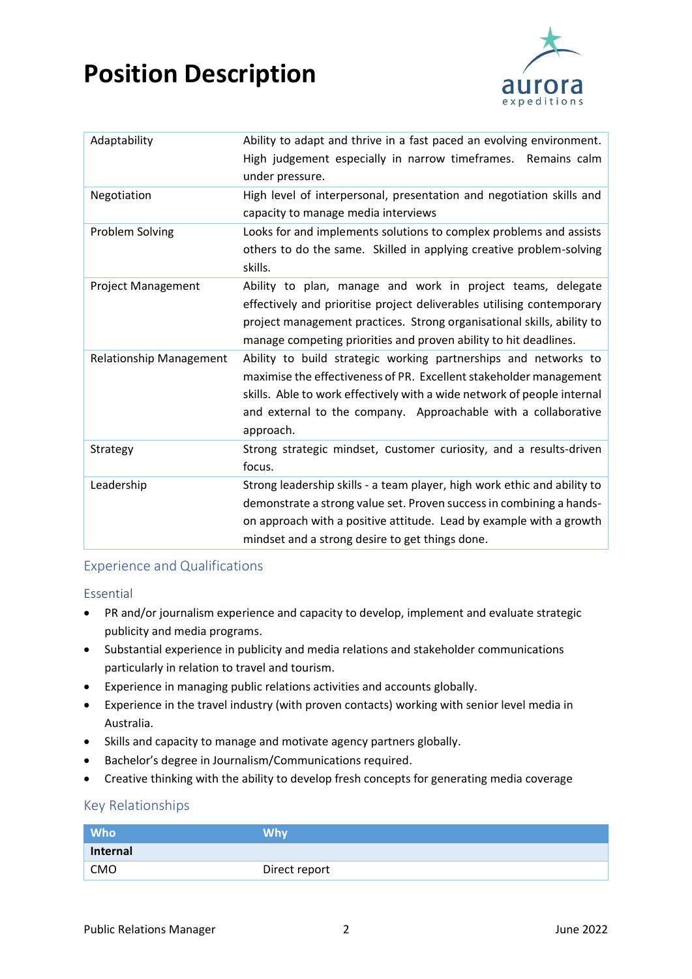# **Position Description**



| Adaptability                   | Ability to adapt and thrive in a fast paced an evolving environment.<br>High judgement especially in narrow timeframes. Remains calm                                                                                                                                                            |
|--------------------------------|-------------------------------------------------------------------------------------------------------------------------------------------------------------------------------------------------------------------------------------------------------------------------------------------------|
|                                | under pressure.                                                                                                                                                                                                                                                                                 |
| Negotiation                    | High level of interpersonal, presentation and negotiation skills and<br>capacity to manage media interviews                                                                                                                                                                                     |
| Problem Solving                | Looks for and implements solutions to complex problems and assists<br>others to do the same. Skilled in applying creative problem-solving<br>skills.                                                                                                                                            |
| Project Management             | Ability to plan, manage and work in project teams, delegate<br>effectively and prioritise project deliverables utilising contemporary<br>project management practices. Strong organisational skills, ability to<br>manage competing priorities and proven ability to hit deadlines.             |
| <b>Relationship Management</b> | Ability to build strategic working partnerships and networks to<br>maximise the effectiveness of PR. Excellent stakeholder management<br>skills. Able to work effectively with a wide network of people internal<br>and external to the company. Approachable with a collaborative<br>approach. |
| Strategy                       | Strong strategic mindset, Customer curiosity, and a results-driven<br>focus.                                                                                                                                                                                                                    |
| Leadership                     | Strong leadership skills - a team player, high work ethic and ability to<br>demonstrate a strong value set. Proven success in combining a hands-<br>on approach with a positive attitude. Lead by example with a growth<br>mindset and a strong desire to get things done.                      |

### Experience and Qualifications

### Essential

- PR and/or journalism experience and capacity to develop, implement and evaluate strategic publicity and media programs.
- Substantial experience in publicity and media relations and stakeholder communications particularly in relation to travel and tourism.
- Experience in managing public relations activities and accounts globally.
- Experience in the travel industry (with proven contacts) working with senior level media in Australia.
- Skills and capacity to manage and motivate agency partners globally.
- Bachelor's degree in Journalism/Communications required.
- Creative thinking with the ability to develop fresh concepts for generating media coverage

### Key Relationships

| Who <sup>1</sup> | <b>Why</b>    |
|------------------|---------------|
| Internal         |               |
| CMO              | Direct report |